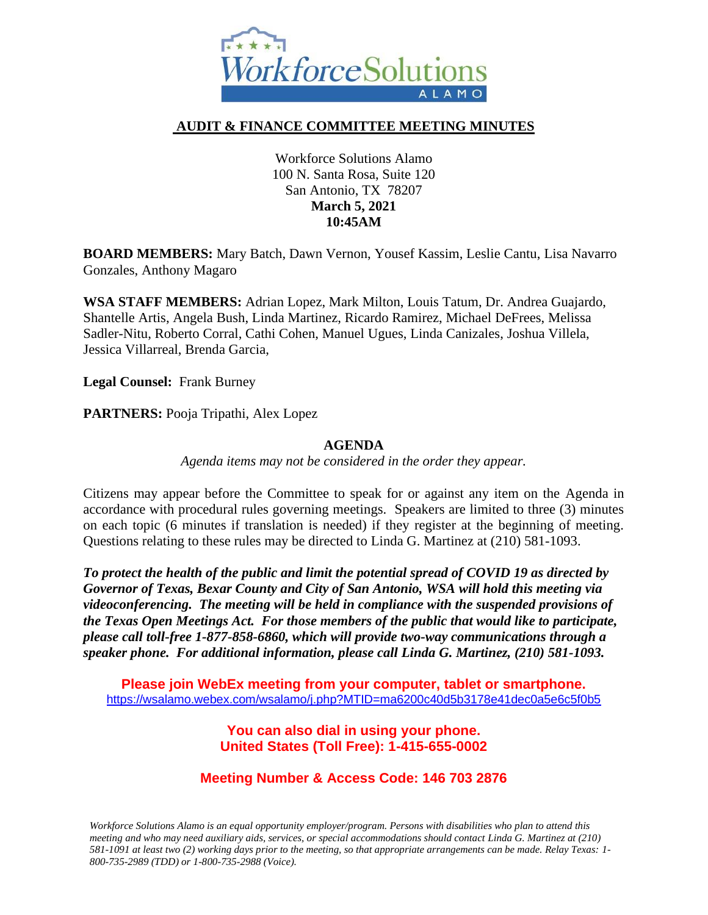

#### **AUDIT & FINANCE COMMITTEE MEETING MINUTES**

Workforce Solutions Alamo 100 N. Santa Rosa, Suite 120 San Antonio, TX 78207 **March 5, 2021 10:45AM**

**BOARD MEMBERS:** Mary Batch, Dawn Vernon, Yousef Kassim, Leslie Cantu, Lisa Navarro Gonzales, Anthony Magaro

**WSA STAFF MEMBERS:** Adrian Lopez, Mark Milton, Louis Tatum, Dr. Andrea Guajardo, Shantelle Artis, Angela Bush, Linda Martinez, Ricardo Ramirez, Michael DeFrees, Melissa Sadler-Nitu, Roberto Corral, Cathi Cohen, Manuel Ugues, Linda Canizales, Joshua Villela, Jessica Villarreal, Brenda Garcia,

**Legal Counsel:** Frank Burney

**PARTNERS:** Pooja Tripathi, Alex Lopez

#### **AGENDA**

*Agenda items may not be considered in the order they appear.*

Citizens may appear before the Committee to speak for or against any item on the Agenda in accordance with procedural rules governing meetings. Speakers are limited to three (3) minutes on each topic (6 minutes if translation is needed) if they register at the beginning of meeting. Questions relating to these rules may be directed to Linda G. Martinez at (210) 581-1093.

*To protect the health of the public and limit the potential spread of COVID 19 as directed by Governor of Texas, Bexar County and City of San Antonio, WSA will hold this meeting via videoconferencing. The meeting will be held in compliance with the suspended provisions of the Texas Open Meetings Act. For those members of the public that would like to participate, please call toll-free 1-877-858-6860, which will provide two-way communications through a speaker phone. For additional information, please call Linda G. Martinez, (210) 581-1093.* 

**Please join WebEx meeting from your computer, tablet or smartphone.**  <https://wsalamo.webex.com/wsalamo/j.php?MTID=ma6200c40d5b3178e41dec0a5e6c5f0b5>

> **You can also dial in using your phone. United States (Toll Free): 1-415-655-0002**

# **Meeting Number & Access Code: 146 703 2876**

*Workforce Solutions Alamo is an equal opportunity employer/program. Persons with disabilities who plan to attend this meeting and who may need auxiliary aids, services, or special accommodations should contact Linda G. Martinez at (210) 581-1091 at least two (2) working days prior to the meeting, so that appropriate arrangements can be made. Relay Texas: 1- 800-735-2989 (TDD) or 1-800-735-2988 (Voice).*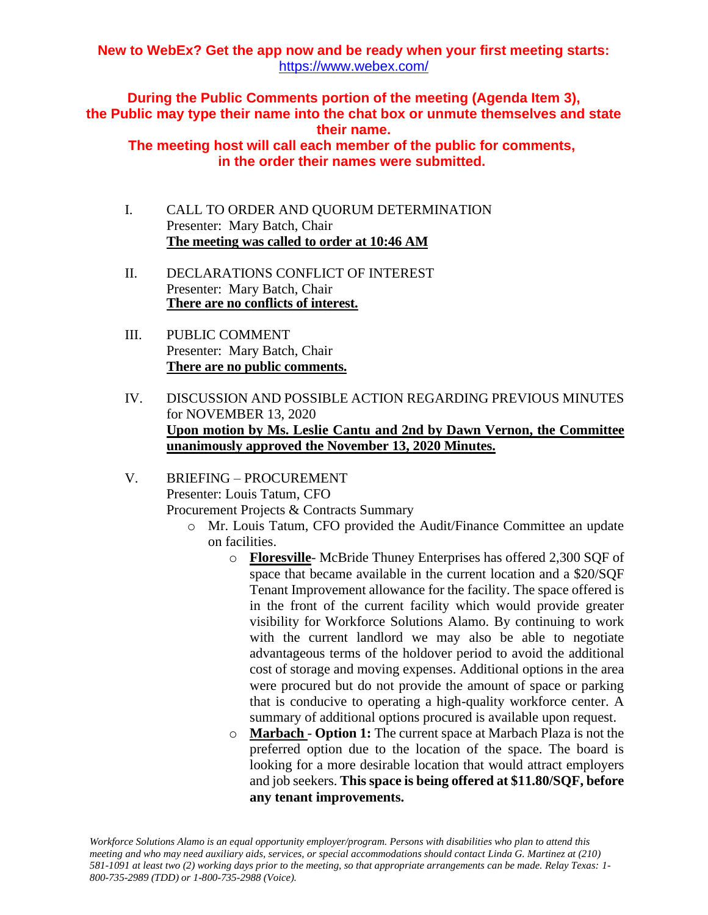### **New to WebEx? Get the app now and be ready when your first meeting starts:**  <https://www.webex.com/>

**During the Public Comments portion of the meeting (Agenda Item 3), the Public may type their name into the chat box or unmute themselves and state their name.**

**The meeting host will call each member of the public for comments, in the order their names were submitted.**

- I. CALL TO ORDER AND QUORUM DETERMINATION Presenter: Mary Batch, Chair **The meeting was called to order at 10:46 AM**
- II. DECLARATIONS CONFLICT OF INTEREST Presenter: Mary Batch, Chair **There are no conflicts of interest.**
- III. PUBLIC COMMENT Presenter: Mary Batch, Chair **There are no public comments.**
- IV. DISCUSSION AND POSSIBLE ACTION REGARDING PREVIOUS MINUTES for NOVEMBER 13, 2020 **Upon motion by Ms. Leslie Cantu and 2nd by Dawn Vernon, the Committee unanimously approved the November 13, 2020 Minutes.**
- V. BRIEFING PROCUREMENT Presenter: Louis Tatum, CFO Procurement Projects & Contracts Summary
	- o Mr. Louis Tatum, CFO provided the Audit/Finance Committee an update on facilities.
		- o **Floresville** McBride Thuney Enterprises has offered 2,300 SQF of space that became available in the current location and a \$20/SQF Tenant Improvement allowance for the facility. The space offered is in the front of the current facility which would provide greater visibility for Workforce Solutions Alamo. By continuing to work with the current landlord we may also be able to negotiate advantageous terms of the holdover period to avoid the additional cost of storage and moving expenses. Additional options in the area were procured but do not provide the amount of space or parking that is conducive to operating a high-quality workforce center. A summary of additional options procured is available upon request.
		- o **Marbach Option 1:** The current space at Marbach Plaza is not the preferred option due to the location of the space. The board is looking for a more desirable location that would attract employers and job seekers. **This space is being offered at \$11.80/SQF, before any tenant improvements.**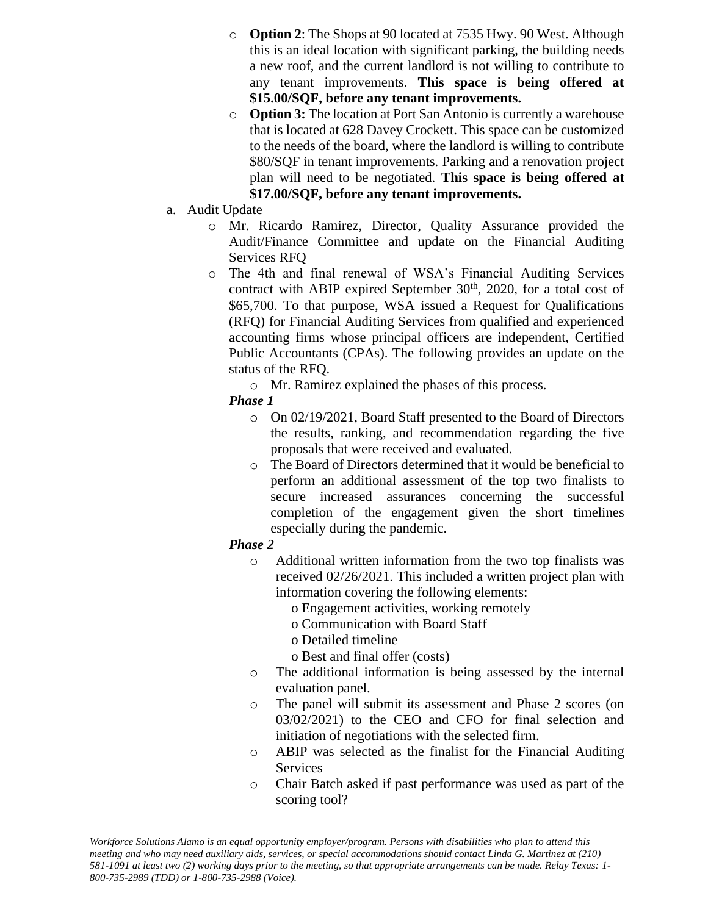- o **Option 2**: The Shops at 90 located at 7535 Hwy. 90 West. Although this is an ideal location with significant parking, the building needs a new roof, and the current landlord is not willing to contribute to any tenant improvements. **This space is being offered at \$15.00/SQF, before any tenant improvements.**
- o **Option 3:** The location at Port San Antonio is currently a warehouse that is located at 628 Davey Crockett. This space can be customized to the needs of the board, where the landlord is willing to contribute \$80/SQF in tenant improvements. Parking and a renovation project plan will need to be negotiated. **This space is being offered at \$17.00/SQF, before any tenant improvements.**
- a. Audit Update
	- o Mr. Ricardo Ramirez, Director, Quality Assurance provided the Audit/Finance Committee and update on the Financial Auditing Services RFQ
	- o The 4th and final renewal of WSA's Financial Auditing Services contract with ABIP expired September  $30<sup>th</sup>$ , 2020, for a total cost of \$65,700. To that purpose, WSA issued a Request for Qualifications (RFQ) for Financial Auditing Services from qualified and experienced accounting firms whose principal officers are independent, Certified Public Accountants (CPAs). The following provides an update on the status of the RFQ.
		- o Mr. Ramirez explained the phases of this process.
		- *Phase 1*
			- o On 02/19/2021, Board Staff presented to the Board of Directors the results, ranking, and recommendation regarding the five proposals that were received and evaluated.
			- o The Board of Directors determined that it would be beneficial to perform an additional assessment of the top two finalists to secure increased assurances concerning the successful completion of the engagement given the short timelines especially during the pandemic.

### *Phase 2*

- o Additional written information from the two top finalists was received 02/26/2021. This included a written project plan with information covering the following elements:
	- o Engagement activities, working remotely
	- o Communication with Board Staff
	- o Detailed timeline
	- o Best and final offer (costs)
- o The additional information is being assessed by the internal evaluation panel.
- o The panel will submit its assessment and Phase 2 scores (on 03/02/2021) to the CEO and CFO for final selection and initiation of negotiations with the selected firm.
- o ABIP was selected as the finalist for the Financial Auditing Services
- o Chair Batch asked if past performance was used as part of the scoring tool?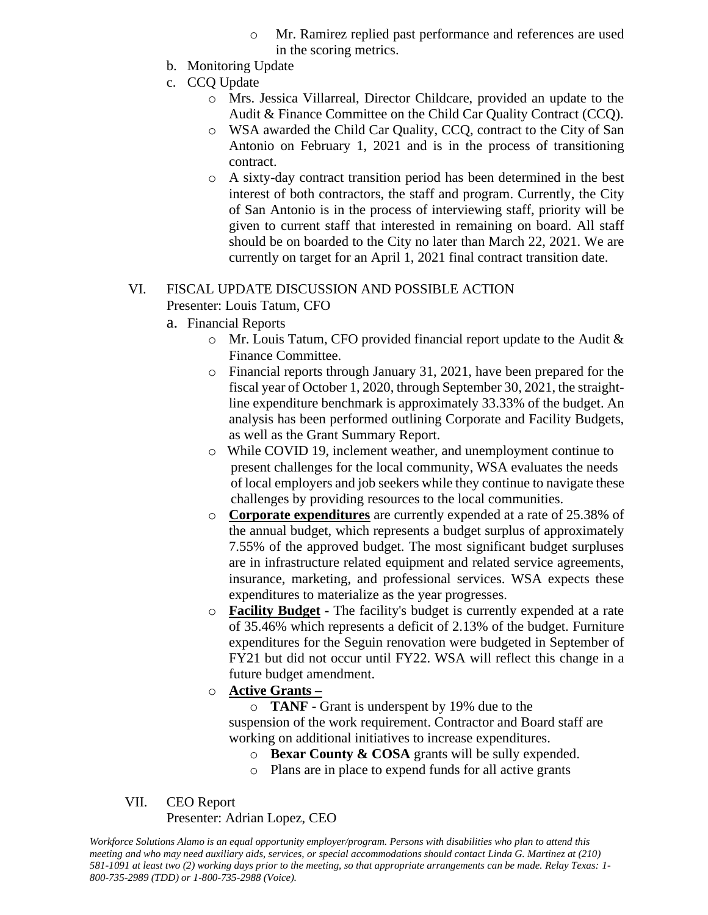- o Mr. Ramirez replied past performance and references are used in the scoring metrics.
- b. Monitoring Update
- c. CCQ Update
	- o Mrs. Jessica Villarreal, Director Childcare, provided an update to the Audit & Finance Committee on the Child Car Quality Contract (CCQ).
	- o WSA awarded the Child Car Quality, CCQ, contract to the City of San Antonio on February 1, 2021 and is in the process of transitioning contract.
	- o A sixty-day contract transition period has been determined in the best interest of both contractors, the staff and program. Currently, the City of San Antonio is in the process of interviewing staff, priority will be given to current staff that interested in remaining on board. All staff should be on boarded to the City no later than March 22, 2021. We are currently on target for an April 1, 2021 final contract transition date.

## VI. FISCAL UPDATE DISCUSSION AND POSSIBLE ACTION Presenter: Louis Tatum, CFO

- a. Financial Reports
	- o Mr. Louis Tatum, CFO provided financial report update to the Audit & Finance Committee.
	- o Financial reports through January 31, 2021, have been prepared for the fiscal year of October 1, 2020, through September 30, 2021, the straightline expenditure benchmark is approximately 33.33% of the budget. An analysis has been performed outlining Corporate and Facility Budgets, as well as the Grant Summary Report.
	- o While COVID 19, inclement weather, and unemployment continue to present challenges for the local community, WSA evaluates the needs of local employers and job seekers while they continue to navigate these challenges by providing resources to the local communities.
	- o **Corporate expenditures** are currently expended at a rate of 25.38% of the annual budget, which represents a budget surplus of approximately 7.55% of the approved budget. The most significant budget surpluses are in infrastructure related equipment and related service agreements, insurance, marketing, and professional services. WSA expects these expenditures to materialize as the year progresses.
	- o **Facility Budget -** The facility's budget is currently expended at a rate of 35.46% which represents a deficit of 2.13% of the budget. Furniture expenditures for the Seguin renovation were budgeted in September of FY21 but did not occur until FY22. WSA will reflect this change in a future budget amendment.
	- o **Active Grants –**

o **TANF -** Grant is underspent by 19% due to the suspension of the work requirement. Contractor and Board staff are working on additional initiatives to increase expenditures.

- o **Bexar County & COSA** grants will be sully expended.
- o Plans are in place to expend funds for all active grants

### VII. CEO Report

### Presenter: Adrian Lopez, CEO

*Workforce Solutions Alamo is an equal opportunity employer/program. Persons with disabilities who plan to attend this meeting and who may need auxiliary aids, services, or special accommodations should contact Linda G. Martinez at (210) 581-1091 at least two (2) working days prior to the meeting, so that appropriate arrangements can be made. Relay Texas: 1- 800-735-2989 (TDD) or 1-800-735-2988 (Voice).*